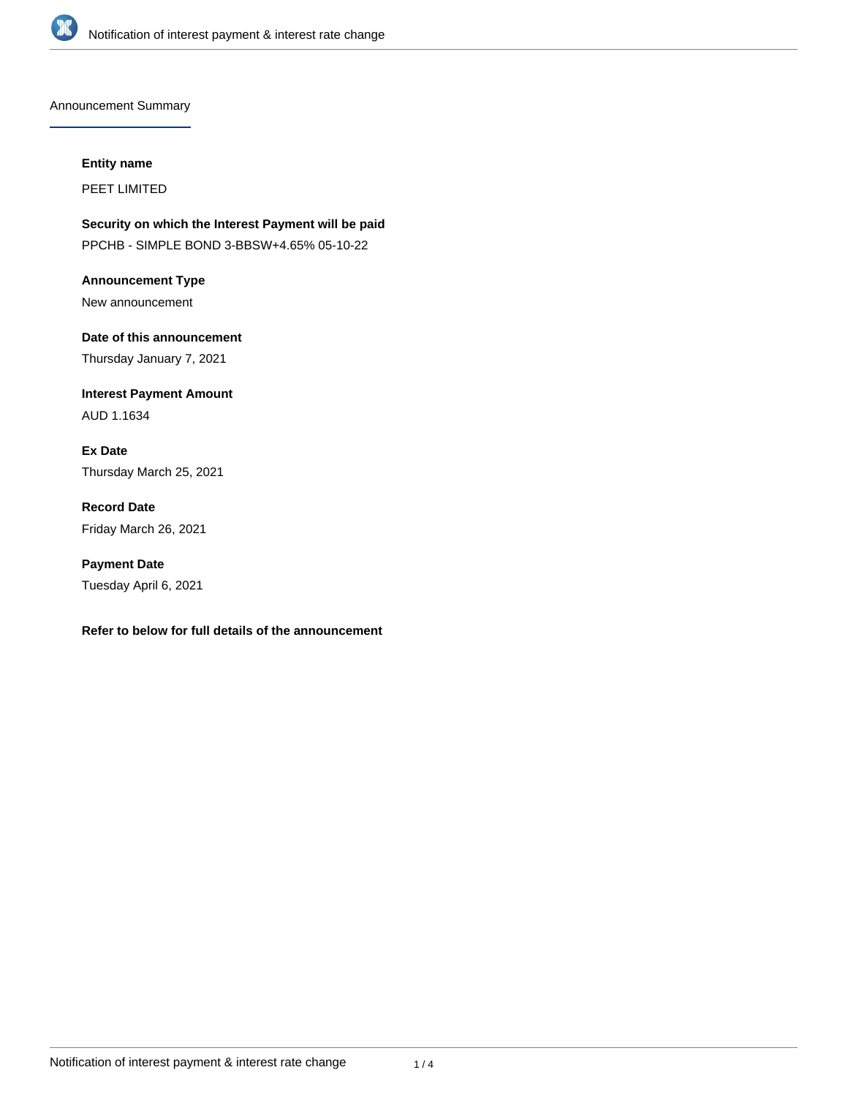

Announcement Summary

#### **Entity name**

PEET LIMITED

**Security on which the Interest Payment will be paid** PPCHB - SIMPLE BOND 3-BBSW+4.65% 05-10-22

**Announcement Type** New announcement

**Date of this announcement** Thursday January 7, 2021

**Interest Payment Amount** AUD 1.1634

**Ex Date** Thursday March 25, 2021

**Record Date** Friday March 26, 2021

**Payment Date** Tuesday April 6, 2021

### **Refer to below for full details of the announcement**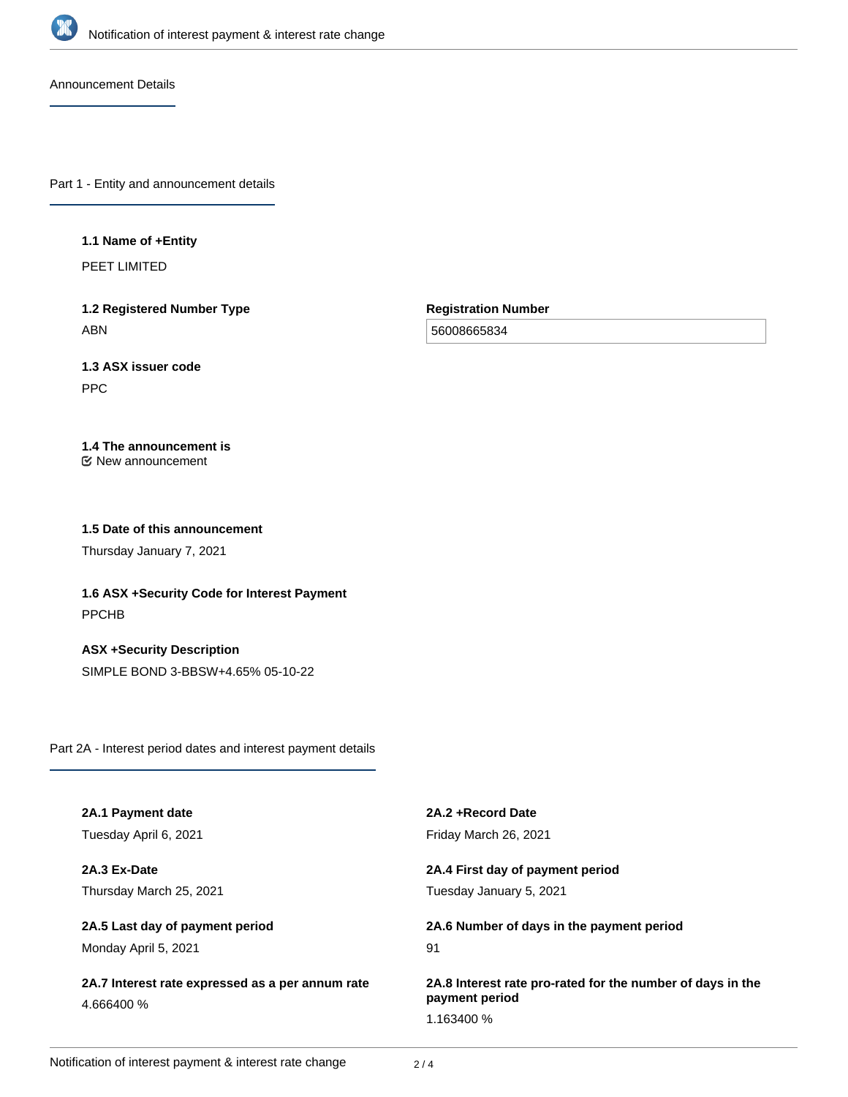

Announcement Details

Part 1 - Entity and announcement details

### **1.1 Name of +Entity**

PEET LIMITED

**1.2 Registered Number Type** ABN

**Registration Number**

56008665834

# **1.3 ASX issuer code**

PPC

## **1.4 The announcement is**

New announcement

### **1.5 Date of this announcement**

Thursday January 7, 2021

**1.6 ASX +Security Code for Interest Payment** PPCHB

**ASX +Security Description** SIMPLE BOND 3-BBSW+4.65% 05-10-22

Part 2A - Interest period dates and interest payment details

| 2A.1 Payment date                                              | 2A.2 + Record Date                                                           |
|----------------------------------------------------------------|------------------------------------------------------------------------------|
| Tuesday April 6, 2021                                          | Friday March 26, 2021                                                        |
| 2A.3 Ex-Date                                                   | 2A.4 First day of payment period                                             |
| Thursday March 25, 2021                                        | Tuesday January 5, 2021                                                      |
| 2A.5 Last day of payment period                                | 2A.6 Number of days in the payment period                                    |
| Monday April 5, 2021                                           | 91                                                                           |
| 2A.7 Interest rate expressed as a per annum rate<br>4.666400 % | 2A.8 Interest rate pro-rated for the number of days in the<br>payment period |
|                                                                | 1.163400 %                                                                   |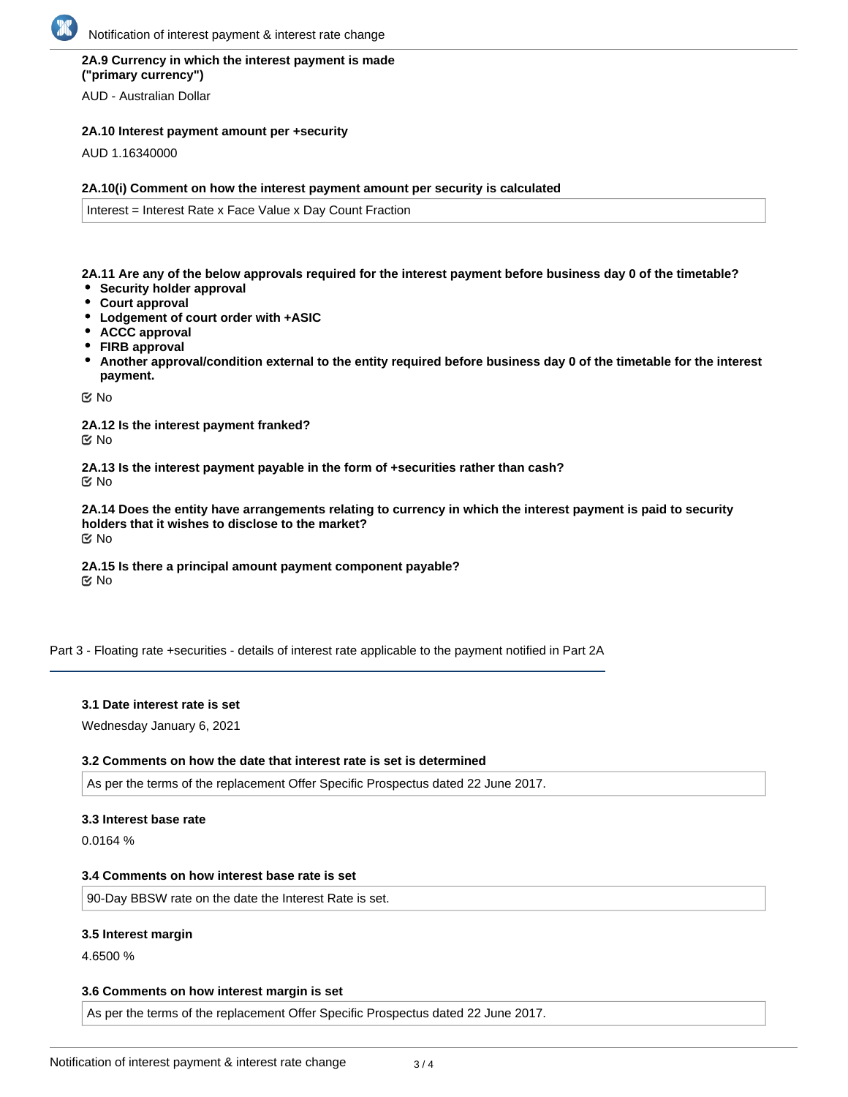### **2A.9 Currency in which the interest payment is made ("primary currency")**

AUD - Australian Dollar

### **2A.10 Interest payment amount per +security**

AUD 1.16340000

### **2A.10(i) Comment on how the interest payment amount per security is calculated**

Interest = Interest Rate x Face Value x Day Count Fraction

**2A.11 Are any of the below approvals required for the interest payment before business day 0 of the timetable?**

- **Security holder approval**
- **Court approval**
- **Lodgement of court order with +ASIC**
- **ACCC approval**
- **FIRB approval**
- **Another approval/condition external to the entity required before business day 0 of the timetable for the interest payment.**

No

**2A.12 Is the interest payment franked?** No

**2A.13 Is the interest payment payable in the form of +securities rather than cash?** No

**2A.14 Does the entity have arrangements relating to currency in which the interest payment is paid to security holders that it wishes to disclose to the market?** No

**2A.15 Is there a principal amount payment component payable? K** No

Part 3 - Floating rate +securities - details of interest rate applicable to the payment notified in Part 2A

#### **3.1 Date interest rate is set**

Wednesday January 6, 2021

#### **3.2 Comments on how the date that interest rate is set is determined**

As per the terms of the replacement Offer Specific Prospectus dated 22 June 2017.

#### **3.3 Interest base rate**

0.0164 %

#### **3.4 Comments on how interest base rate is set**

90-Day BBSW rate on the date the Interest Rate is set.

### **3.5 Interest margin**

4.6500 %

### **3.6 Comments on how interest margin is set**

As per the terms of the replacement Offer Specific Prospectus dated 22 June 2017.